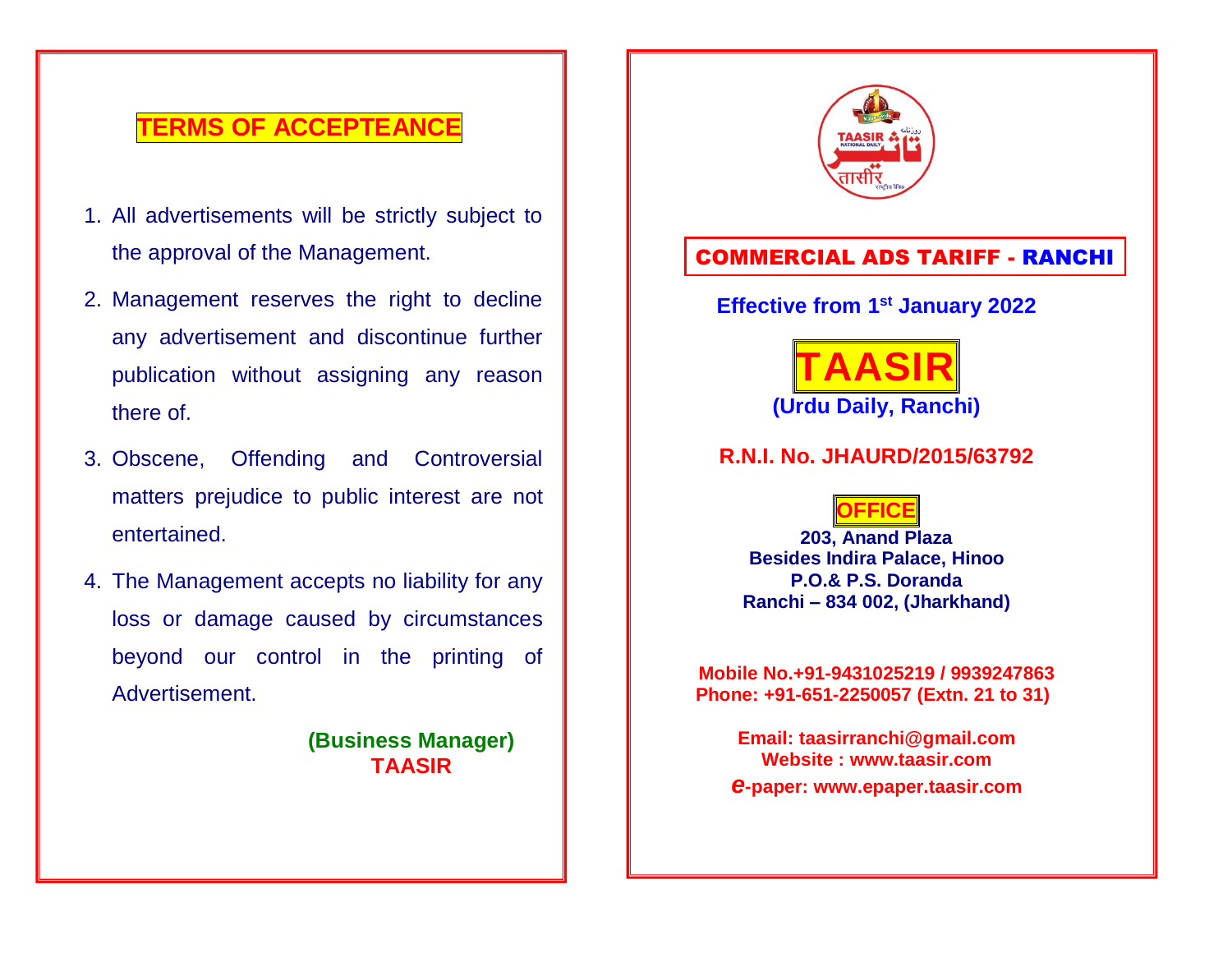# **TERMS OF ACCEPTEANCE**

- 1. All advertisements will be strictly subject to the approval of the Management.
- 2. Management reserves the right to decline any advertisement and discontinue further publication without assigning any reason there of.
- 3. Obscene, Offending and Controversial matters prejudice to public interest are not entertained.
- 4. The Management accepts no liability for any loss or damage caused by circumstances beyond our control in the printing of Advertisement.

**(Business Manager) TAASIR**



### COMMERCIAL ADS TARIFF - RANCHI

### **Effective from 1 st January 2022**



### **R.N.I. No. JHAURD/2015/63792**

### **OFFICE**

**203, Anand Plaza Besides Indira Palace, Hinoo P.O.& P.S. Doranda Ranchi – 834 002, (Jharkhand)**

**Mobile No.+91-9431025219 / 9939247863 Phone: +91-651-2250057 (Extn. 21 to 31)**

**Email: [taasirranchi@gmail.com](mailto:taasirranchi@gmail.com) Website : [www.taasir.com](http://www.taasir.com/)** *e***-paper: [www.epaper.taasir.com](http://www.epaper.taasir.com/)**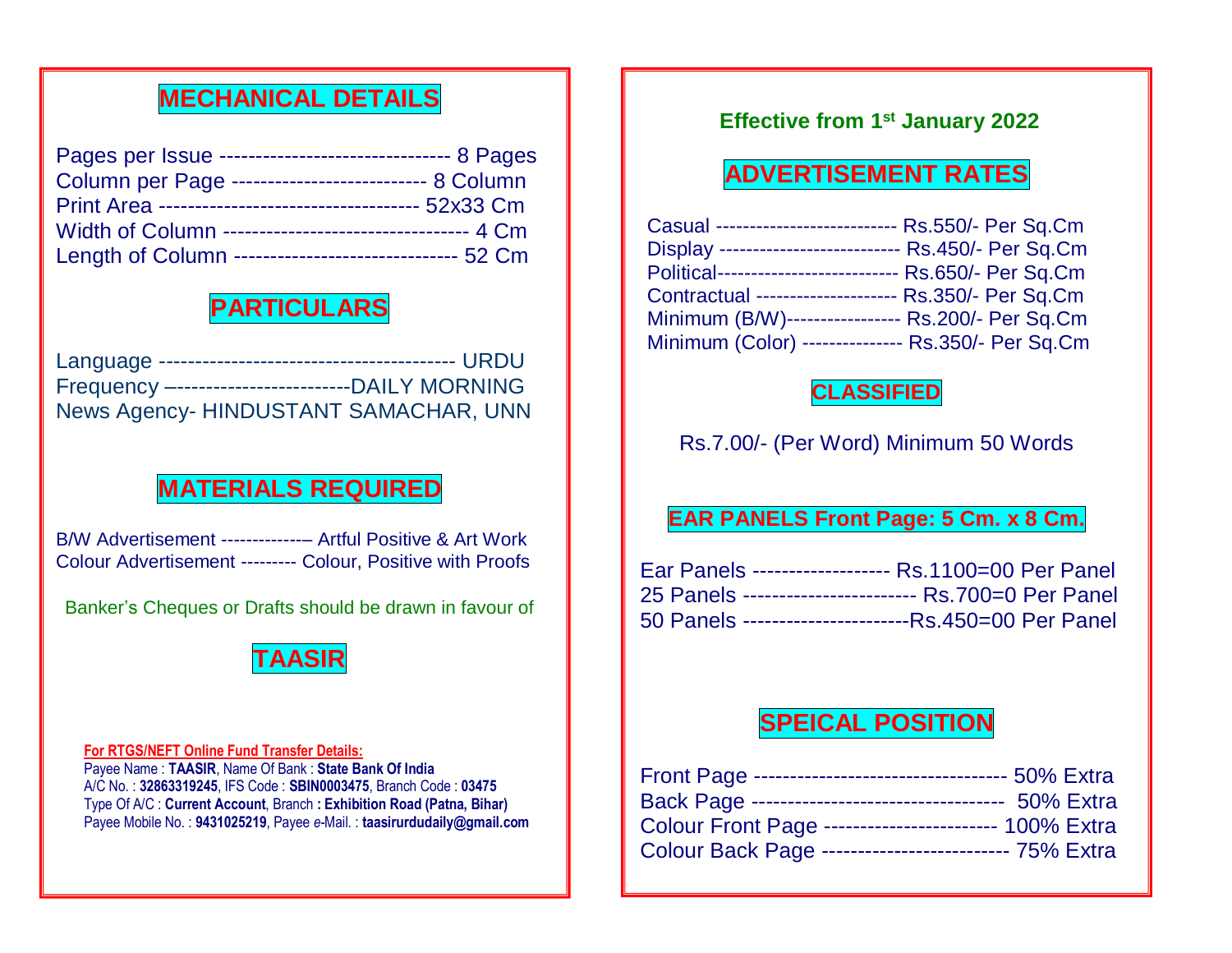# **MECHANICAL DETAILS**

| Pages per Issue --------------------------------- 8 Pages |  |
|-----------------------------------------------------------|--|
| Column per Page --------------------------- 8 Column      |  |
|                                                           |  |
| Width of Column --------------------------------- 4 Cm    |  |
| Length of Column ------------------------------- 52 Cm    |  |

# **PARTICULARS**

Language ----------------------------------------- URDU Frequency –------------------------DAILY MORNING News Agency- HINDUSTANT SAMACHAR, UNN

# **MATERIALS REQUIRED**

B/W Advertisement -------------– Artful Positive & Art Work Colour Advertisement --------- Colour, Positive with Proofs

Banker's Cheques or Drafts should be drawn in favour of



**For RTGS/NEFT Online Fund Transfer Details:** Payee Name : **TAASIR**, Name Of Bank : **State Bank Of India** A/C No. : **32863319245**, IFS Code : **SBIN0003475**, Branch Code : **03475** Type Of A/C : **Current Account**, Branch **: Exhibition Road (Patna, Bihar)** Payee Mobile No. : **9431025219**, Payee *e*-Mail. : **[taasirurdudaily@gmail.com](mailto:taasirurdudaily@gmail.com)**

### **Effective from 1st January 2022**

# **ADVERTISEMENT RATES**

| Casual -------------------------  | Rs.550/- Per Sq.Cm              |
|-----------------------------------|---------------------------------|
| Display ----------------------    | - Rs.450/- Per Sq.Cm            |
| Political------------------------ | -- Rs.650/- Per Sq.Cm           |
| Contractual -----------------     | Rs.350/- Per Sq.Cm              |
| Minimum (B/W)--                   | Rs.200/- Per Sq.Cm              |
| Minimum (Color)                   | ------------ Rs.350/- Per Sq.Cm |

### **CLASSIFIED**

Rs.7.00/- (Per Word) Minimum 50 Words

### **EAR PANELS Front Page: 5 Cm. x 8 Cm.**

| Ear Panels ------------------- Rs.1100=00 Per Panel    |
|--------------------------------------------------------|
| 25 Panels ------------------------- Rs.700=0 Per Panel |
| 50 Panels ------------------------Rs.450=00 Per Panel  |

# **SPEICAL POSITION**

| Front Page ----------------------------------- 50% Extra |  |
|----------------------------------------------------------|--|
| Back Page ----------------------------------- 50% Extra  |  |
| Colour Front Page ------------------------ 100% Extra    |  |
| Colour Back Page -------------------------- 75% Extra    |  |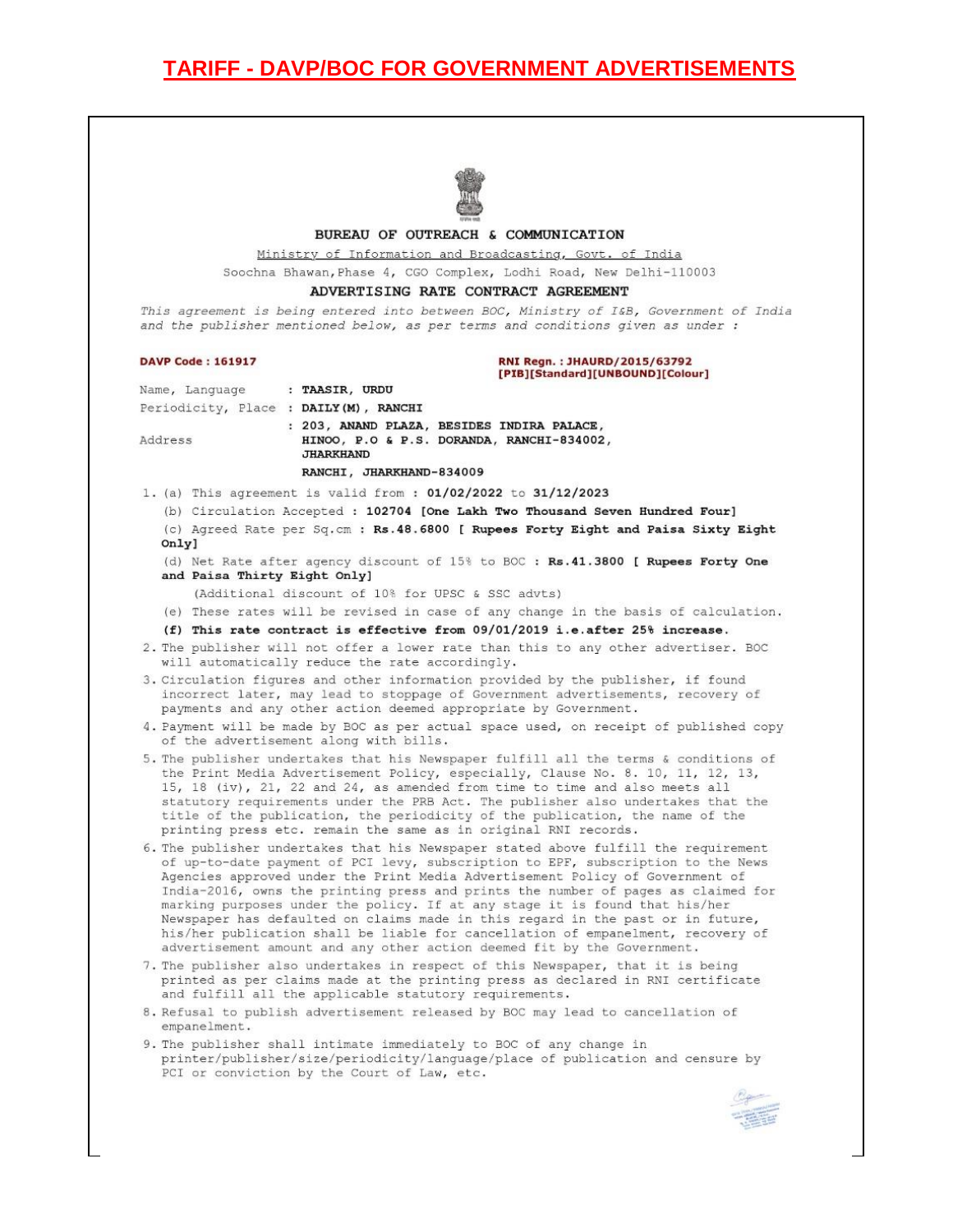#### BUREAU OF OUTREACH & COMMUNICATION

### Ministry of Information and Broadcasting, Govt. of India

Soochna Bhawan, Phase 4, CGO Complex, Lodhi Road, New Delhi-110003

#### ADVERTISING RATE CONTRACT AGREEMENT

This agreement is being entered into between BOC, Ministry of I&B, Government of India and the publisher mentioned below, as per terms and conditions given as under :

**DAVP Code: 161917** 

#### RNI Regn.: JHAURD/2015/63792 [PIB][Standard][UNBOUND][Colour]

Name, Language : TAASIR, URDU Periodicity, Place : DAILY (M), RANCHI

Address

: 203, ANAND PLAZA, BESIDES INDIRA PALACE, HINOO, P.O & P.S. DORANDA, RANCHI-834002, **JHARKHAND** 

#### RANCHI, JHARKHAND-834009

1. (a) This agreement is valid from: 01/02/2022 to 31/12/2023

(b) Circulation Accepted : 102704 [One Lakh Two Thousand Seven Hundred Four]

(c) Agreed Rate per Sq. cm : Rs. 48. 6800 [ Rupees Forty Eight and Paisa Sixty Eight Only]

- (d) Net Rate after agency discount of 15% to BOC : Rs.41.3800 [ Rupees Forty One and Paisa Thirty Eight Only]
	- (Additional discount of 10% for UPSC & SSC advts)
- (e) These rates will be revised in case of any change in the basis of calculation.
- (f) This rate contract is effective from 09/01/2019 i.e.after 25% increase.
- 2. The publisher will not offer a lower rate than this to any other advertiser. BOC will automatically reduce the rate accordingly.
- 3. Circulation figures and other information provided by the publisher, if found incorrect later, may lead to stoppage of Government advertisements, recovery of payments and any other action deemed appropriate by Government.
- 4. Payment will be made by BOC as per actual space used, on receipt of published copy of the advertisement along with bills.
- 5. The publisher undertakes that his Newspaper fulfill all the terms & conditions of the Print Media Advertisement Policy, especially, Clause No. 8. 10, 11, 12, 13, 15, 18 (iv), 21, 22 and 24, as amended from time to time and also meets all statutory requirements under the PRB Act. The publisher also undertakes that the title of the publication, the periodicity of the publication, the name of the printing press etc. remain the same as in original RNI records.
- 6. The publisher undertakes that his Newspaper stated above fulfill the requirement of up-to-date payment of PCI levy, subscription to EPF, subscription to the News Agencies approved under the Print Media Advertisement Policy of Government of India-2016, owns the printing press and prints the number of pages as claimed for marking purposes under the policy. If at any stage it is found that his/her Newspaper has defaulted on claims made in this regard in the past or in future, his/her publication shall be liable for cancellation of empanelment, recovery of advertisement amount and any other action deemed fit by the Government.
- 7. The publisher also undertakes in respect of this Newspaper, that it is being printed as per claims made at the printing press as declared in RNI certificate and fulfill all the applicable statutory requirements.
- 8. Refusal to publish advertisement released by BOC may lead to cancellation of empanelment.
- 9. The publisher shall intimate immediately to BOC of any change in printer/publisher/size/periodicity/language/place of publication and censure by PCI or conviction by the Court of Law, etc.

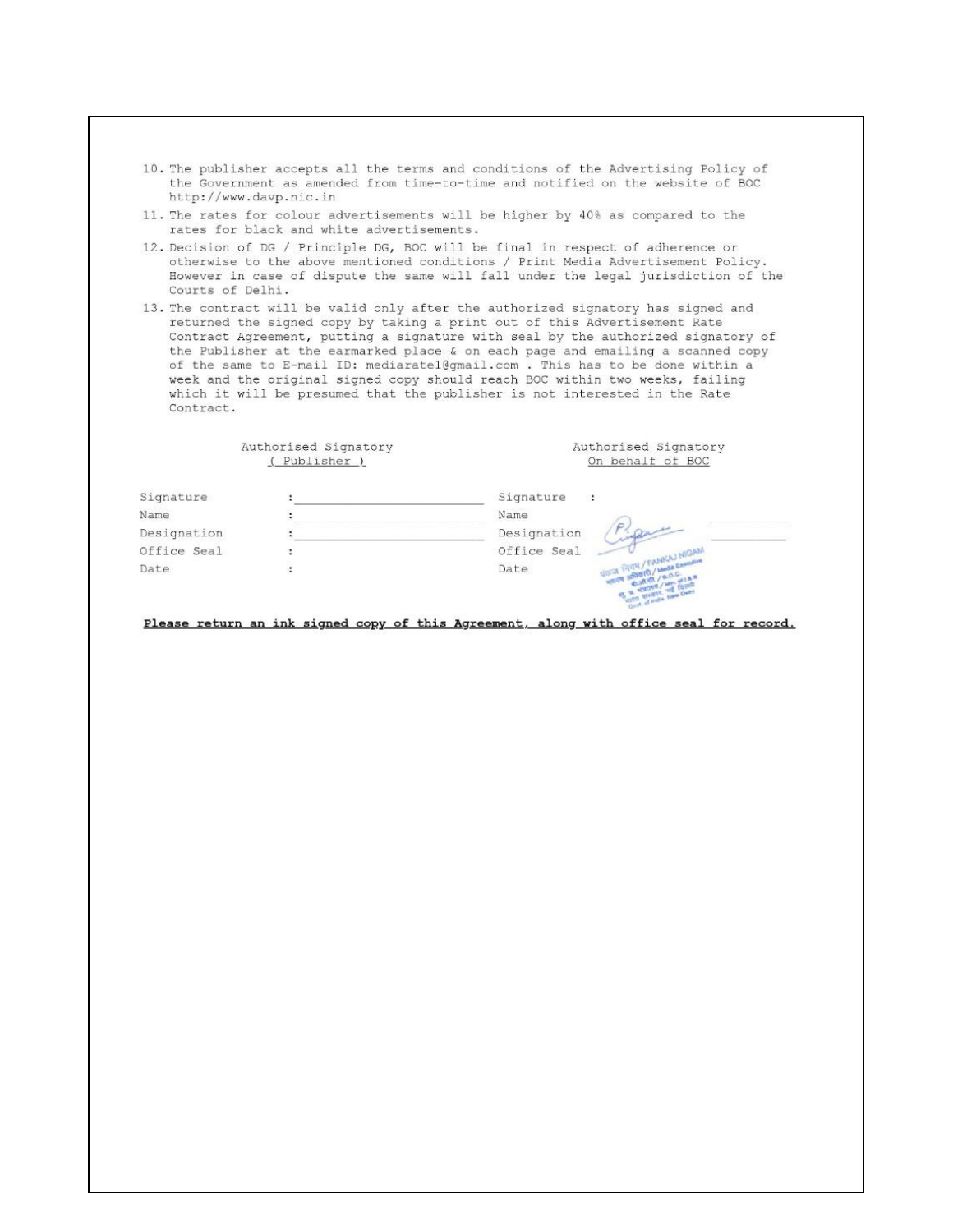- 10. The publisher accepts all the terms and conditions of the Advertising Policy of the Government as amended from time-to-time and notified on the website of BOC http://www.davp.nic.in
- 11. The rates for colour advertisements will be higher by 40% as compared to the rates for black and white advertisements.
- 12. Decision of DG / Principle DG, BOC will be final in respect of adherence or otherwise to the above mentioned conditions / Print Media Advertisement Policy. However in case of dispute the same will fall under the legal jurisdiction of the Courts of Delhi.
- 13. The contract will be valid only after the authorized signatory has signed and returned the signed copy by taking a print out of this Advertisement Rate Contract Agreement, putting a signature with seal by the authorized signatory of the Publisher at the earmarked place & on each page and emailing a scanned copy of the same to E-mail ID: mediaratel@gmail.com . This has to be done within a week and the original signed copy should reach BOC within two weeks, failing which it will be presumed that the publisher is not interested in the Rate Contract.

|             | Authorised Signatory<br>(Publisher) | Authorised Signatory<br>On behalf of BOC |
|-------------|-------------------------------------|------------------------------------------|
| Signature   |                                     | Signature<br>$\ddot{\phantom{1}}$        |
| Name        |                                     | Name                                     |
| Designation |                                     | Designation                              |
| Office Seal |                                     | Office Seal                              |
| Date        |                                     | THE PANKAJ NIGAN<br>Date                 |

Please return an ink signed copy of this Agreement, along with office seal for record.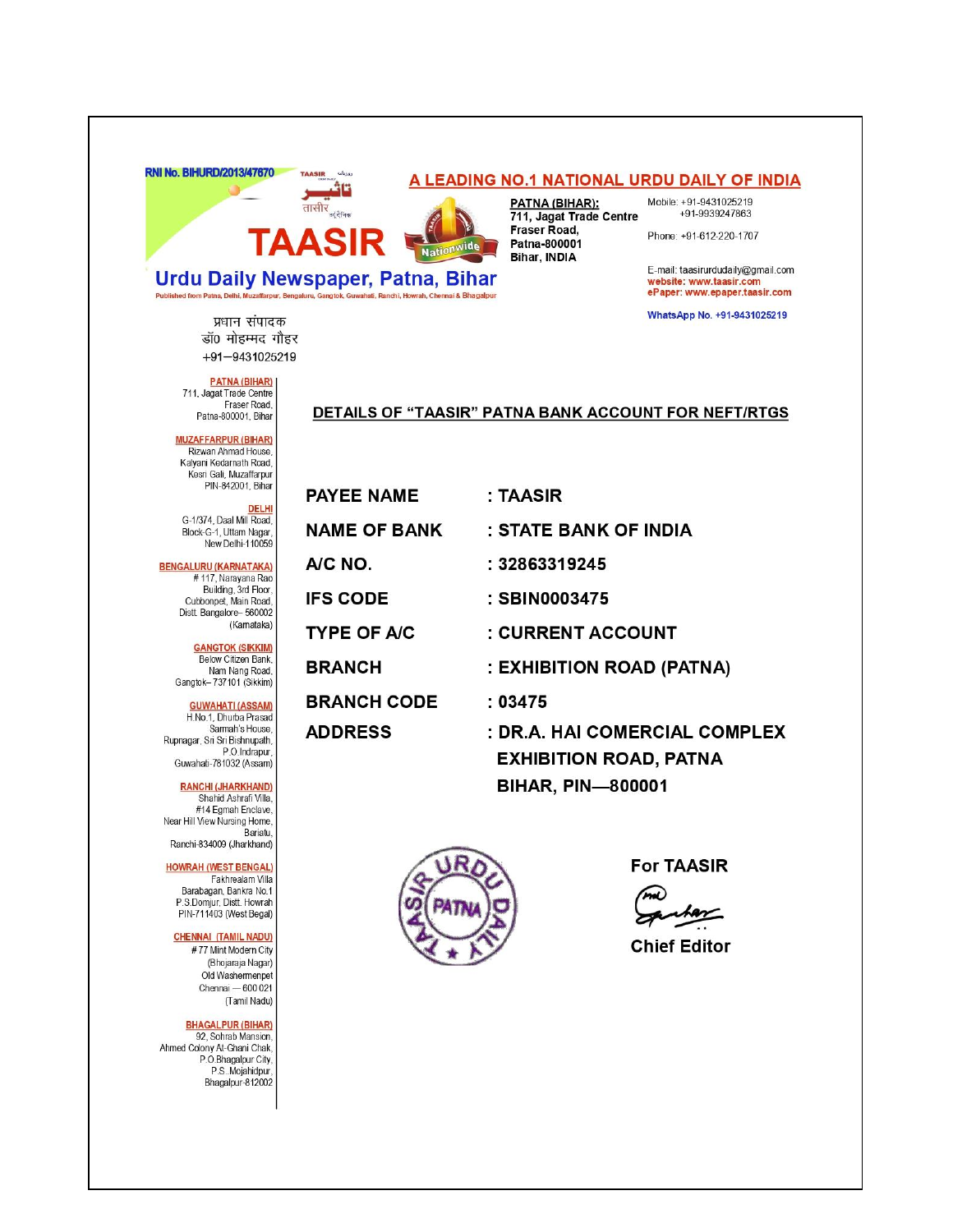

**Urdu Daily Newspaper, Patna, Bihar** 

### A LEADING NO.1 NATIONAL URDU DAILY OF INDIA

PATNA (BIHAR): 711, Jagat Trade Centre Fraser Road, Patna-800001 Bihar, INDIA

**Nationwide** 

Ranchi, Howrah, Chennai & Bhagalpur

Mobile: +91-9431025219 +91-9939247863

Phone: +91-612-220-1707

E-mail: taasirurdudaily@gmail.com website: www.taasir.com<br>ePaper: www.epaper.taasir.com

WhatsApp No. +91-9431025219

प्रधान संपादक डॉ0 मोहम्मद गौहर +91-9431025219

**PATNA (BIHAR)** 711, Jagat Trade Centre Fraser Road Patna-800001, Bihar

Published from Patna, Delhi, M

#### DETAILS OF "TAASIR" PATNA BANK ACCOUNT FOR NEFT/RTGS

**MUZAFFARPUR (BIHAR)** Rizwan Ahmad House, Kalyani Kedarnath Road,<br>Kesri Gali, Muzaffarpur PIN-842001, Bihar

DELHI<br>,G-1/374, Daal Mill Road Block-G-1, Uttam Nagar,<br>New Delhi-110059

**BENGALURU (KARNATAKA)** # 117, Narayana Rao Building, 3rd Floor, Cubbonpet, Main Road Distt Bangalore-560002 (Kamataka)

> **GANGTOK (SIKKIM)** Below Citizen Bank,<br>Nam Nang Road, Gangtok-737101 (Sikkim)

**GUWAHATI (ASSAM)** H.No.1, Dhurba Prasad Sarmah's House Rupnagar, Sri Sri Bishnupath, P.O.Indrapur, Guwahati-781032 (Assam)

**RANCHI (JHARKHAND)** Shahid Ashrafi Villa, #14 Egmah Enclave, Near Hill View Nursing Home, Bariatu Ranchi-834009 (Jharkhand)

**HOWRAH (WEST BENGAL)** Fakhrealam Villa Barabagan, Bankra No.1 P.S.Domjur, Distt. Howrah PIN-711403 (West Begal)

#### **CHENNAI (TAMIL NADU)**

#77 Mint Modern City (Bhojaraja Nagar) Old Washermenpet Chennai - 600 021 (Tamil Nadu)

**BHAGALPUR (BIHAR)** 92, Sohrab Mansion,

Ahmed Colony At-Ghani Chak, P.O.Bhagalpur City, P.S. Mojahidpur Bhagalpur-812002

| <b>PAYEE NAME</b>   | : TAASIR                                                                                   |
|---------------------|--------------------------------------------------------------------------------------------|
| <b>NAME OF BANK</b> | : STATE BANK OF INDIA                                                                      |
| A/C NO.             | : 32863319245                                                                              |
| <b>IFS CODE</b>     | : SBIN0003475                                                                              |
| <b>TYPE OF A/C</b>  | : CURRENT ACCOUNT                                                                          |
| <b>BRANCH</b>       | : EXHIBITION ROAD (PATNA)                                                                  |
| <b>BRANCH CODE</b>  | :03475                                                                                     |
| <b>ADDRESS</b>      | : DR.A. HAI COMERCIAL COMPLEX<br><b>EXHIBITION ROAD, PATNA</b><br><b>BIHAR, PIN-800001</b> |



**For TAASIR** 

**Chief Editor**